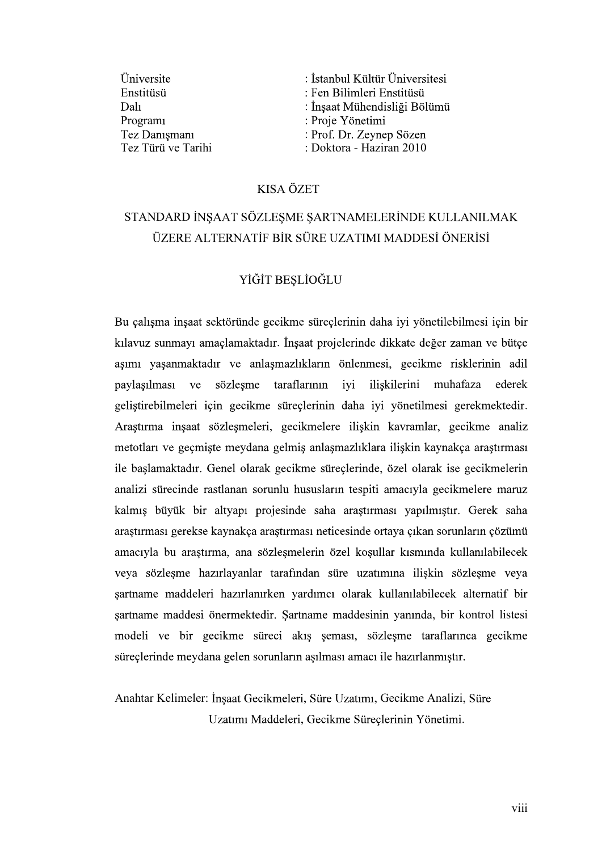| Üniversite           | : İstanbul Kültür Üniversitesi |
|----------------------|--------------------------------|
| Enstitüsü            | : Fen Bilimleri Enstitüsü      |
| Dali                 | : İnşaat Mühendisliği Bölümü   |
| Program <sub>1</sub> | : Proje Yönetimi               |
| Tez Danışmanı        | : Prof. Dr. Zeynep Sözen       |
| Tez Türü ve Tarihi   | : Doktora - Haziran 2010       |

# KISA ÖZET<br>STANDARD İNSAAT SÖZLESME SARTNAMELERİNDE KULLANILMAK ÜZERE ALTERNATİF BİR SÜRE UZATIMI MADDESİ ÖNERİSİ

### YİĞİT BEŞLİOĞLU

Bu çalışma inşaat sektöründe gecikme süreçlerinin daha iyi yönetilebilmesi için bir kılavuz sunmayı amaçlamaktadır. İnşaat projelerinde dikkate değer zaman ve bütçe<br>aşımı yaşanmaktadır ve anlaşmazlıkların önlenmesi, gecikme risklerinin adil<br>paylasılması ve sözlesme taraflarının iyi iliskilerini muhafaza e paylasılması ve . Arastırma insaat sözlesmeleri, gecikmelere iliskin kavramlar, gecikme analiz metotları ve geçmişte meydana gelmiş anlaşmazlıklara ilişkin kaynakça araştırması ile başlamaktadır. Genel olarak gecikme süreçlerinde, özel olarak ise gecikmelerin analizi sürecinde rastlanan sorunlu hususların tespiti amacıyla gecikmelere maruz kalmış büyük bir altyapı projesinde saha araştırması yapılmıştır. Gerek saha araştırması gerekse kaynakça araştırması neticesinde ortaya çıkan sorunların çözümü amacıyla bu araştırma, ana sözleşmelerin özel koşullar kısmında kullanılabilecek veya sözleşme hazırlayanlar tarafından süre uzatımına ilişkin sözleşme veya şartname maddeleri hazırlanırken yardımcı olarak kullanılabilecek alternatif bir sartname maddesi önermektedir. Sartname maddesinin yanında, bir kontrol listesi modeli ve bir gecikme süreci akış şeması, sözleşme taraflarınca gecikme süreçlerinde meydana gelen sorunların aşılması amacı ile hazırlanmıştır.

## Anahtar Kelimeler: İnşaat Gecikmeleri, Süre Uzatımı, Gecikme Analizi, Süre Uzatımı Maddeleri, Gecikme Süreçlerinin Yönetimi.